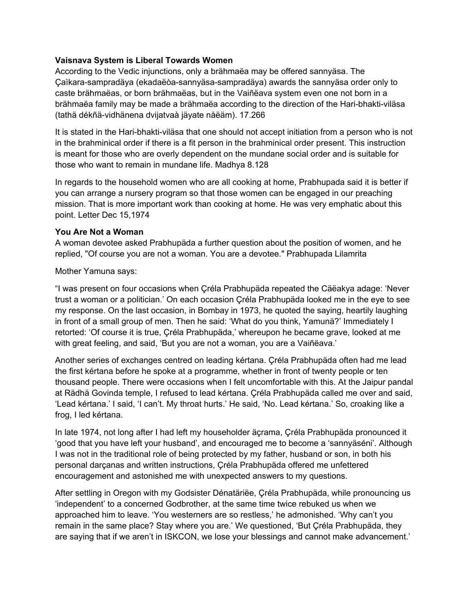## **Vaisnava System is Liberal Towards Women**

According to the Vedic injunctions, only a brähmaëa may be offered sannyäsa. The Çaìkara-sampradäya (ekadaëòa-sannyäsa-sampradäya) awards the sannyäsa order only to caste brähmaëas, or born brähmaëas, but in the Vaiñëava system even one not born in a brähmaëa family may be made a brähmaëa according to the direction of the Hari-bhakti-viläsa (tathä dékñä-vidhänena dvijatvaà jäyate nåëäm). 17.266

It is stated in the Hari-bhakti-viläsa that one should not accept initiation from a person who is not in the brahminical order if there is a fit person in the brahminical order present. This instruction is meant for those who are overly dependent on the mundane social order and is suitable for those who want to remain in mundane life. Madhya 8.128

In regards to the household women who are all cooking at home, Prabhupada said it is better if you can arrange a nursery program so that those women can be engaged in our preaching mission. That is more important work than cooking at home. He was very emphatic about this point. Letter Dec 15,1974

### **You Are Not a Woman**

A woman devotee asked Prabhupäda a further question about the position of women, and he replied, "Of course you are not a woman. You are a devotee." Prabhupada Lilamrita

Mother Yamuna says:

"I was present on four occasions when Çréla Prabhupäda repeated the Cäëakya adage: 'Never trust a woman or a politician.' On each occasion Çréla Prabhupäda looked me in the eye to see my response. On the last occasion, in Bombay in 1973, he quoted the saying, heartily laughing in front of a small group of men. Then he said: 'What do you think, Yamunä?' Immediately I retorted: 'Of course it is true, Çréla Prabhupäda,' whereupon he became grave, looked at me with great feeling, and said, 'But you are not a woman, you are a Vaiñëava.'

Another series of exchanges centred on leading kértana. Çréla Prabhupäda often had me lead the first kértana before he spoke at a programme, whether in front of twenty people or ten thousand people. There were occasions when I felt uncomfortable with this. At the Jaipur pandal at Rädhä Govinda temple, I refused to lead kértana. Çréla Prabhupäda called me over and said, 'Lead kértana.' I said, 'I can't. My throat hurts.' He said, 'No. Lead kértana.' So, croaking like a frog, I led kértana.

In late 1974, not long after I had left my householder äçrama, Çréla Prabhupäda pronounced it 'good that you have left your husband', and encouraged me to become a 'sannyäséni'. Although I was not in the traditional role of being protected by my father, husband or son, in both his personal darçanas and written instructions, Çréla Prabhupäda offered me unfettered encouragement and astonished me with unexpected answers to my questions.

After settling in Oregon with my Godsister Dénatäriëe, Çréla Prabhupäda, while pronouncing us 'independent' to a concerned Godbrother, at the same time twice rebuked us when we approached him to leave. 'You westerners are so restless,' he admonished. 'Why can't you remain in the same place? Stay where you are.' We questioned, 'But Çréla Prabhupäda, they are saying that if we aren't in ISKCON, we lose your blessings and cannot make advancement.'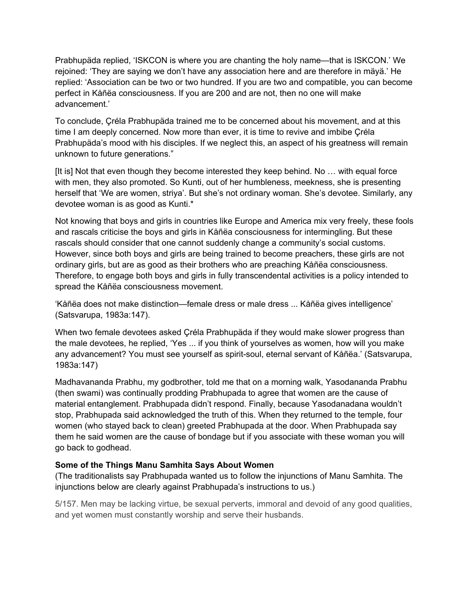Prabhupäda replied, 'ISKCON is where you are chanting the holy name—that is ISKCON.' We rejoined: 'They are saying we don't have any association here and are therefore in mäyä.' He replied: 'Association can be two or two hundred. If you are two and compatible, you can become perfect in Kåñëa consciousness. If you are 200 and are not, then no one will make advancement.'

To conclude, Çréla Prabhupäda trained me to be concerned about his movement, and at this time I am deeply concerned. Now more than ever, it is time to revive and imbibe Çréla Prabhupäda's mood with his disciples. If we neglect this, an aspect of his greatness will remain unknown to future generations."

[It is] Not that even though they become interested they keep behind. No … with equal force with men, they also promoted. So Kunti, out of her humbleness, meekness, she is presenting herself that 'We are women, striya'. But she's not ordinary woman. She's devotee. Similarly, any devotee woman is as good as Kunti.\*

Not knowing that boys and girls in countries like Europe and America mix very freely, these fools and rascals criticise the boys and girls in Kåñëa consciousness for intermingling. But these rascals should consider that one cannot suddenly change a community's social customs. However, since both boys and girls are being trained to become preachers, these girls are not ordinary girls, but are as good as their brothers who are preaching Kåñëa consciousness. Therefore, to engage both boys and girls in fully transcendental activities is a policy intended to spread the Kåñëa consciousness movement.

'Kåñëa does not make distinction—female dress or male dress ... Kåñëa gives intelligence' (Satsvarupa, 1983a:147).

When two female devotees asked Çréla Prabhupäda if they would make slower progress than the male devotees, he replied, 'Yes ... if you think of yourselves as women, how will you make any advancement? You must see yourself as spirit-soul, eternal servant of Kåñëa.' (Satsvarupa, 1983a:147)

Madhavananda Prabhu, my godbrother, told me that on a morning walk, Yasodananda Prabhu (then swami) was continually prodding Prabhupada to agree that women are the cause of material entanglement. Prabhupada didn't respond. Finally, because Yasodanadana wouldn't stop, Prabhupada said acknowledged the truth of this. When they returned to the temple, four women (who stayed back to clean) greeted Prabhupada at the door. When Prabhupada say them he said women are the cause of bondage but if you associate with these woman you will go back to godhead.

# **Some of the Things Manu Samhita Says About Women**

(The traditionalists say Prabhupada wanted us to follow the injunctions of Manu Samhita. The injunctions below are clearly against Prabhupada's instructions to us.)

5/157. Men may be lacking virtue, be sexual perverts, immoral and devoid of any good qualities, and yet women must constantly worship and serve their husbands.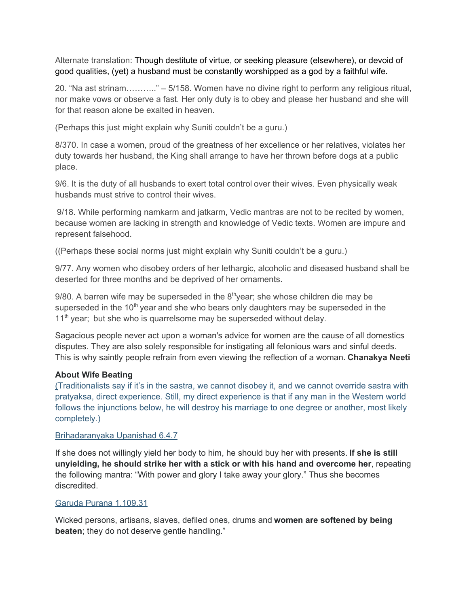Alternate translation: Though destitute of virtue, or seeking pleasure (elsewhere), or devoid of good qualities, (yet) a husband must be constantly worshipped as a god by a faithful wife.

20. "Na ast strinam……….." – 5/158. Women have no divine right to perform any religious ritual, nor make vows or observe a fast. Her only duty is to obey and please her husband and she will for that reason alone be exalted in heaven.

(Perhaps this just might explain why Suniti couldn't be a guru.)

8/370. In case a women, proud of the greatness of her excellence or her relatives, violates her duty towards her husband, the King shall arrange to have her thrown before dogs at a public place.

9/6. It is the duty of all husbands to exert total control over their wives. Even physically weak husbands must strive to control their wives.

9/18. While performing namkarm and jatkarm, Vedic mantras are not to be recited by women, because women are lacking in strength and knowledge of Vedic texts. Women are impure and represent falsehood.

((Perhaps these social norms just might explain why Suniti couldn't be a guru.)

9/77. Any women who disobey orders of her lethargic, alcoholic and diseased husband shall be deserted for three months and be deprived of her ornaments.

 $9/80$ . A barren wife may be superseded in the  $8<sup>th</sup>$ year; she whose children die may be superseded in the 10<sup>th</sup> year and she who bears only daughters may be superseded in the 11<sup>th</sup> year; but she who is quarrelsome may be superseded without delay.

Sagacious people never act upon a woman's advice for women are the cause of all domestics disputes. They are also solely responsible for instigating all felonious wars and sinful deeds. This is why saintly people refrain from even viewing the reflection of a woman. **Chanakya Neeti**

### **About Wife Beating**

(Traditionalists say if it's in the sastra, we cannot disobey it, and we cannot override sastra with pratyaksa, direct experience. Still, my direct experience is that if any man in the Western world follows the injunctions below, he will destroy his marriage to one degree or another, most likely completely.)

#### [Brihadaranyaka](http://www.upanishads.kenjaques.org.uk/Brihadaranyaka_Upanishad_Chapter_Six.html) Upanishad 6.4.7

If she does not willingly yield her body to him, he should buy her with presents. **If she is still unyielding, he should strike her with a stick or with his hand and overcome her**, repeating the following mantra: "With power and glory I take away your glory." Thus she becomes discredited.

#### Garuda Purana [1.109.31](http://veda.harekrsna.cz/encyclopedia/garuda-purana.htm)

Wicked persons, artisans, slaves, defiled ones, drums and **women are softened by being beaten**; they do not deserve gentle handling."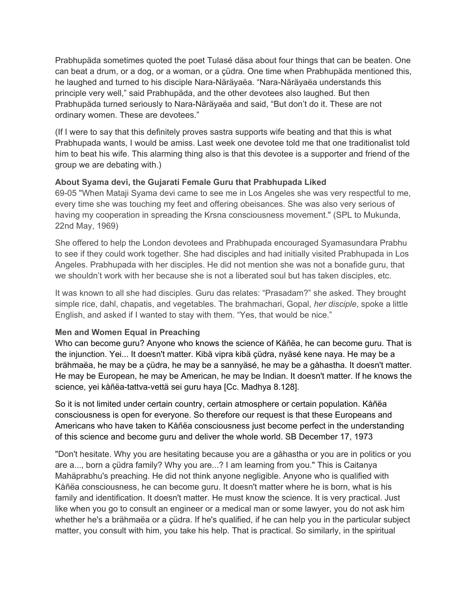Prabhupäda sometimes quoted the poet Tulasé däsa about four things that can be beaten. One can beat a drum, or a dog, or a woman, or a çüdra. One time when Prabhupäda mentioned this, he laughed and turned to his disciple Nara-Näräyaëa. "Nara-Näräyaëa understands this principle very well," said Prabhupäda, and the other devotees also laughed. But then Prabhupäda turned seriously to Nara-Näräyaëa and said, "But don't do it. These are not ordinary women. These are devotees."

(If I were to say that this definitely proves sastra supports wife beating and that this is what Prabhupada wants, I would be amiss. Last week one devotee told me that one traditionalist told him to beat his wife. This alarming thing also is that this devotee is a supporter and friend of the group we are debating with.)

## **About Syama devi, the Gujarati Female Guru that Prabhupada Liked**

69-05 "When Mataji Syama devi came to see me in Los Angeles she was very respectful to me, every time she was touching my feet and offering obeisances. She was also very serious of having my cooperation in spreading the Krsna consciousness movement." (SPL to Mukunda, 22nd May, 1969)

She offered to help the London devotees and Prabhupada encouraged Syamasundara Prabhu to see if they could work together. She had disciples and had initially visited Prabhupada in Los Angeles. Prabhupada with her disciples. He did not mention she was not a bonafide guru, that we shouldn't work with her because she is not a liberated soul but has taken disciples, etc.

It was known to all she had disciples. Guru das relates: "Prasadam?" she asked. They brought simple rice, dahl, chapatis, and vegetables. The brahmachari, Gopal, *her disciple*, spoke a little English, and asked if I wanted to stay with them. "Yes, that would be nice."

# **Men and Women Equal in Preaching**

Who can become guru? Anyone who knows the science of Kåñëa, he can become guru. That is the injunction. Yei... It doesn't matter. Kibä vipra kibä çüdra, nyäsé kene naya. He may be a brähmaëa, he may be a çüdra, he may be a sannyäsé, he may be a gåhastha. It doesn't matter. He may be European, he may be American, he may be Indian. It doesn't matter. If he knows the science, yei kåñëa-tattva-vettä sei guru haya [Cc. Madhya 8.128].

So it is not limited under certain country, certain atmosphere or certain population. Kåñëa consciousness is open for everyone. So therefore our request is that these Europeans and Americans who have taken to Kåñëa consciousness just become perfect in the understanding of this science and become guru and deliver the whole world. SB December 17, 1973

"Don't hesitate. Why you are hesitating because you are a gåhastha or you are in politics or you are a..., born a çüdra family? Why you are...? I am learning from you." This is Caitanya Mahäprabhu's preaching. He did not think anyone negligible. Anyone who is qualified with Kåñëa consciousness, he can become guru. It doesn't matter where he is born, what is his family and identification. It doesn't matter. He must know the science. It is very practical. Just like when you go to consult an engineer or a medical man or some lawyer, you do not ask him whether he's a brähmaëa or a çüdra. If he's qualified, if he can help you in the particular subject matter, you consult with him, you take his help. That is practical. So similarly, in the spiritual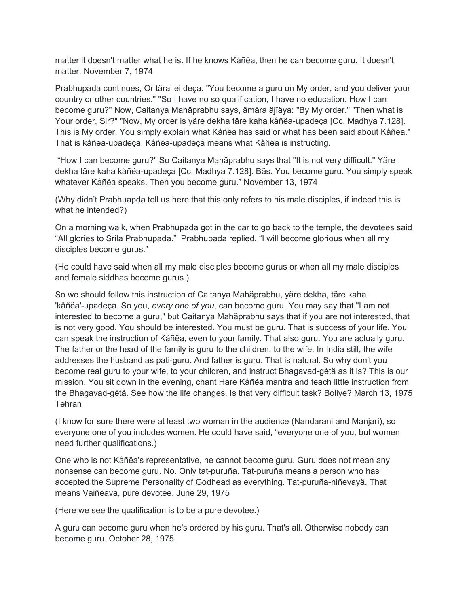matter it doesn't matter what he is. If he knows Kåñëa, then he can become guru. It doesn't matter. November 7, 1974

Prabhupada continues, Or tära' ei deça. "You become a guru on My order, and you deliver your country or other countries." "So I have no so qualification, I have no education. How I can become guru?" Now, Caitanya Mahäprabhu says, ämära äjïäya: "By My order." "Then what is Your order, Sir?" "Now, My order is yäre dekha täre kaha kåñëa-upadeça [Cc. Madhya 7.128]. This is My order. You simply explain what Kåñëa has said or what has been said about Kåñëa." That is kåñëa-upadeça. Kåñëa-upadeça means what Kåñëa is instructing.

"How I can become guru?" So Caitanya Mahäprabhu says that "It is not very difficult." Yäre dekha täre kaha kåñëa-upadeça [Cc. Madhya 7.128]. Bäs. You become guru. You simply speak whatever Kåñëa speaks. Then you become guru." November 13, 1974

(Why didn't Prabhuapda tell us here that this only refers to his male disciples, if indeed this is what he intended?)

On a morning walk, when Prabhupada got in the car to go back to the temple, the devotees said "All glories to Srila Prabhupada." Prabhupada replied, "I will become glorious when all my disciples become gurus."

(He could have said when all my male disciples become gurus or when all my male disciples and female siddhas become gurus.)

So we should follow this instruction of Caitanya Mahäprabhu, yäre dekha, täre kaha 'kåñëa'-upadeça. So you, *every one of you*, can become guru. You may say that "I am not interested to become a guru," but Caitanya Mahäprabhu says that if you are not interested, that is not very good. You should be interested. You must be guru. That is success of your life. You can speak the instruction of Kåñëa, even to your family. That also guru. You are actually guru. The father or the head of the family is guru to the children, to the wife. In India still, the wife addresses the husband as pati-guru. And father is guru. That is natural. So why don't you become real guru to your wife, to your children, and instruct Bhagavad-gétä as it is? This is our mission. You sit down in the evening, chant Hare Kåñëa mantra and teach little instruction from the Bhagavad-gétä. See how the life changes. Is that very difficult task? Boliye? March 13, 1975 **Tehran** 

(I know for sure there were at least two woman in the audience (Nandarani and Manjari), so everyone one of you includes women. He could have said, "everyone one of you, but women need further qualifications.)

One who is not Kåñëa's representative, he cannot become guru. Guru does not mean any nonsense can become guru. No. Only tat-puruña. Tat-puruña means a person who has accepted the Supreme Personality of Godhead as everything. Tat-puruña-niñevayä. That means Vaiñëava, pure devotee. June 29, 1975

(Here we see the qualification is to be a pure devotee.)

A guru can become guru when he's ordered by his guru. That's all. Otherwise nobody can become guru. October 28, 1975.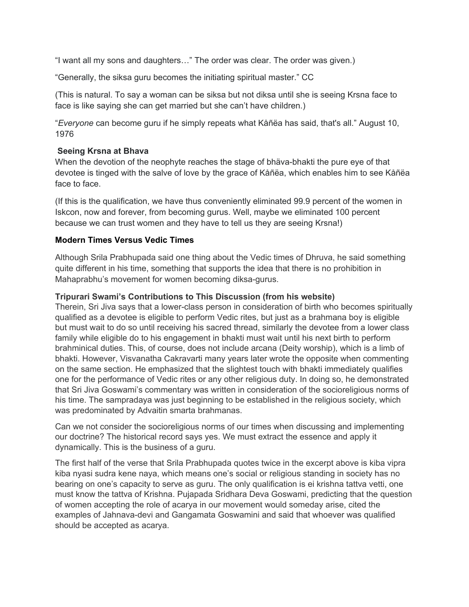"I want all my sons and daughters…" The order was clear. The order was given.)

"Generally, the siksa guru becomes the initiating spiritual master." CC

(This is natural. To say a woman can be siksa but not diksa until she is seeing Krsna face to face is like saying she can get married but she can't have children.)

"*Everyone* can become guru if he simply repeats what Kåñëa has said, that's all." August 10, 1976

### **Seeing Krsna at Bhava**

When the devotion of the neophyte reaches the stage of bhäva-bhakti the pure eye of that devotee is tinged with the salve of love by the grace of Kåñëa, which enables him to see Kåñëa face to face.

(If this is the qualification, we have thus conveniently eliminated 99.9 percent of the women in Iskcon, now and forever, from becoming gurus. Well, maybe we eliminated 100 percent because we can trust women and they have to tell us they are seeing Krsna!)

## **Modern Times Versus Vedic Times**

Although Srila Prabhupada said one thing about the Vedic times of Dhruva, he said something quite different in his time, something that supports the idea that there is no prohibition in Mahaprabhu's movement for women becoming diksa-gurus.

### **Tripurari Swami's Contributions to This Discussion (from his website)**

Therein, Sri Jiva says that a lower-class person in consideration of birth who becomes spiritually qualified as a devotee is eligible to perform Vedic rites, but just as a brahmana boy is eligible but must wait to do so until receiving his sacred thread, similarly the devotee from a lower class family while eligible do to his engagement in bhakti must wait until his next birth to perform brahminical duties. This, of course, does not include arcana (Deity worship), which is a limb of bhakti. However, Visvanatha Cakravarti many years later wrote the opposite when commenting on the same section. He emphasized that the slightest touch with bhakti immediately qualifies one for the performance of Vedic rites or any other religious duty. In doing so, he demonstrated that Sri Jiva Goswami's commentary was written in consideration of the socioreligious norms of his time. The sampradaya was just beginning to be established in the religious society, which was predominated by Advaitin smarta brahmanas.

Can we not consider the socioreligious norms of our times when discussing and implementing our doctrine? The historical record says yes. We must extract the essence and apply it dynamically. This is the business of a guru.

The first half of the verse that Srila Prabhupada quotes twice in the excerpt above is kiba vipra kiba nyasi sudra kene naya, which means one's social or religious standing in society has no bearing on one's capacity to serve as guru. The only qualification is ei krishna tattva vetti, one must know the tattva of Krishna. Pujapada Sridhara Deva Goswami, predicting that the question of women accepting the role of acarya in our movement would someday arise, cited the examples of Jahnava-devi and Gangamata Goswamini and said that whoever was qualified should be accepted as acarya.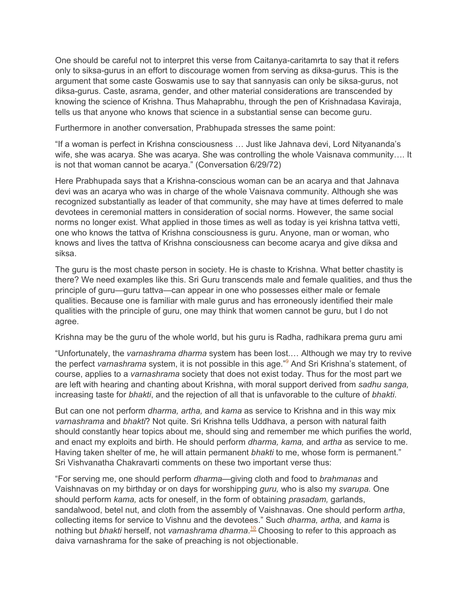One should be careful not to interpret this verse from Caitanya-caritamrta to say that it refers only to siksa-gurus in an effort to discourage women from serving as diksa-gurus. This is the argument that some caste Goswamis use to say that sannyasis can only be siksa-gurus, not diksa-gurus. Caste, asrama, gender, and other material considerations are transcended by knowing the science of Krishna. Thus Mahaprabhu, through the pen of Krishnadasa Kaviraja, tells us that anyone who knows that science in a substantial sense can become guru.

Furthermore in another conversation, Prabhupada stresses the same point:

"If a woman is perfect in Krishna consciousness … Just like Jahnava devi, Lord Nityananda's wife, she was acarya. She was acarya. She was controlling the whole Vaisnava community…. It is not that woman cannot be acarya." (Conversation 6/29/72)

Here Prabhupada says that a Krishna-conscious woman can be an acarya and that Jahnava devi was an acarya who was in charge of the whole Vaisnava community. Although she was recognized substantially as leader of that community, she may have at times deferred to male devotees in ceremonial matters in consideration of social norms. However, the same social norms no longer exist. What applied in those times as well as today is yei krishna tattva vetti, one who knows the tattva of Krishna consciousness is guru. Anyone, man or woman, who knows and lives the tattva of Krishna consciousness can become acarya and give diksa and siksa.

The guru is the most chaste person in society. He is chaste to Krishna. What better chastity is there? We need examples like this. Sri Guru transcends male and female qualities, and thus the principle of guru—guru tattva—can appear in one who possesses either male or female qualities. Because one is familiar with male gurus and has erroneously identified their male qualities with the principle of guru, one may think that women cannot be guru, but I do not agree.

Krishna may be the guru of the whole world, but his guru is Radha, radhikara prema guru ami

"Unfortunately, the *varnashrama dharma* system has been lost.… Although we may try to revive the perfect *varnashrama* system, it is not possible in this age." [9](https://swamitripurari.com/2012/12/varnashrama-bhakti-and-vaisnavi-gurus/#footnote_8_16399) And Sri Krishna's statement, of course, applies to a *varnashrama* society that does not exist today. Thus for the most part we are left with hearing and chanting about Krishna, with moral support derived from *sadhu sanga,* increasing taste for *bhakti*, and the rejection of all that is unfavorable to the culture of *bhakti*.

But can one not perform *dharma, artha,* and *kama* as service to Krishna and in this way mix *varnashrama* and *bhakti*? Not quite. Sri Krishna tells Uddhava, a person with natural faith should constantly hear topics about me, should sing and remember me which purifies the world, and enact my exploits and birth. He should perform *dharma, kama,* and *artha* as service to me. Having taken shelter of me, he will attain permanent *bhakti* to me, whose form is permanent." Sri Vishvanatha Chakravarti comments on these two important verse thus:

"For serving me, one should perform *dharma*—giving cloth and food to *brahmanas* and Vaishnavas on my birthday or on days for worshipping *guru,* who is also my *svarupa.* One should perform *kama,* acts for oneself, in the form of obtaining *prasadam,* garlands, sandalwood, betel nut, and cloth from the assembly of Vaishnavas. One should perform *artha*, collecting items for service to Vishnu and the devotees." Such *dharma, artha,* and *kama* is nothing but *bhakti* herself, not *varnashrama dharma*. [10](https://swamitripurari.com/2012/12/varnashrama-bhakti-and-vaisnavi-gurus/#footnote_9_16399) Choosing to refer to this approach as daiva varnashrama for the sake of preaching is not objectionable.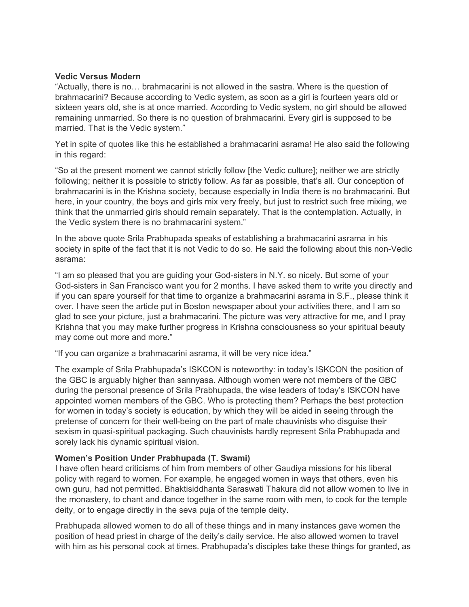#### **Vedic Versus Modern**

"Actually, there is no… brahmacarini is not allowed in the sastra. Where is the question of brahmacarini? Because according to Vedic system, as soon as a girl is fourteen years old or sixteen years old, she is at once married. According to Vedic system, no girl should be allowed remaining unmarried. So there is no question of brahmacarini. Every girl is supposed to be married. That is the Vedic system."

Yet in spite of quotes like this he established a brahmacarini asrama! He also said the following in this regard:

"So at the present moment we cannot strictly follow [the Vedic culture]; neither we are strictly following; neither it is possible to strictly follow. As far as possible, that's all. Our conception of brahmacarini is in the Krishna society, because especially in India there is no brahmacarini. But here, in your country, the boys and girls mix very freely, but just to restrict such free mixing, we think that the unmarried girls should remain separately. That is the contemplation. Actually, in the Vedic system there is no brahmacarini system."

In the above quote Srila Prabhupada speaks of establishing a brahmacarini asrama in his society in spite of the fact that it is not Vedic to do so. He said the following about this non-Vedic asrama:

"I am so pleased that you are guiding your God-sisters in N.Y. so nicely. But some of your God-sisters in San Francisco want you for 2 months. I have asked them to write you directly and if you can spare yourself for that time to organize a brahmacarini asrama in S.F., please think it over. I have seen the article put in Boston newspaper about your activities there, and I am so glad to see your picture, just a brahmacarini. The picture was very attractive for me, and I pray Krishna that you may make further progress in Krishna consciousness so your spiritual beauty may come out more and more."

"If you can organize a brahmacarini asrama, it will be very nice idea."

The example of Srila Prabhupada's ISKCON is noteworthy: in today's ISKCON the position of the GBC is arguably higher than sannyasa. Although women were not members of the GBC during the personal presence of Srila Prabhupada, the wise leaders of today's ISKCON have appointed women members of the GBC. Who is protecting them? Perhaps the best protection for women in today's society is education, by which they will be aided in seeing through the pretense of concern for their well-being on the part of male chauvinists who disguise their sexism in quasi-spiritual packaging. Such chauvinists hardly represent Srila Prabhupada and sorely lack his dynamic spiritual vision.

### **Women's Position Under Prabhupada (T. Swami)**

I have often heard criticisms of him from members of other Gaudiya missions for his liberal policy with regard to women. For example, he engaged women in ways that others, even his own guru, had not permitted. Bhaktisiddhanta Saraswati Thakura did not allow women to live in the monastery, to chant and dance together in the same room with men, to cook for the temple deity, or to engage directly in the seva puja of the temple deity.

Prabhupada allowed women to do all of these things and in many instances gave women the position of head priest in charge of the deity's daily service. He also allowed women to travel with him as his personal cook at times. Prabhupada's disciples take these things for granted, as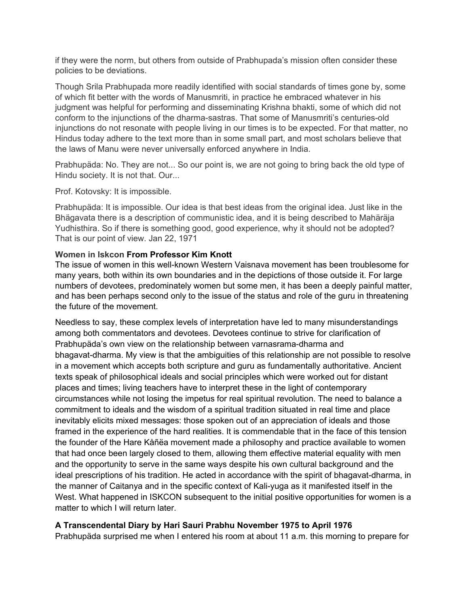if they were the norm, but others from outside of Prabhupada's mission often consider these policies to be deviations.

Though Srila Prabhupada more readily identified with social standards of times gone by, some of which fit better with the words of Manusmriti, in practice he embraced whatever in his judgment was helpful for performing and disseminating Krishna bhakti, some of which did not conform to the injunctions of the dharma-sastras. That some of Manusmriti's centuries-old injunctions do not resonate with people living in our times is to be expected. For that matter, no Hindus today adhere to the text more than in some small part, and most scholars believe that the laws of Manu were never universally enforced anywhere in India.

Prabhupäda: No. They are not... So our point is, we are not going to bring back the old type of Hindu society. It is not that. Our...

Prof. Kotovsky: It is impossible.

Prabhupäda: It is impossible. Our idea is that best ideas from the original idea. Just like in the Bhägavata there is a description of communistic idea, and it is being described to Mahäräja Yudhisthira. So if there is something good, good experience, why it should not be adopted? That is our point of view. Jan 22, 1971

### **Women in Iskcon From Professor Kim Knott**

The issue of women in this well-known Western Vaisnava movement has been troublesome for many years, both within its own boundaries and in the depictions of those outside it. For large numbers of devotees, predominately women but some men, it has been a deeply painful matter, and has been perhaps second only to the issue of the status and role of the guru in threatening the future of the movement.

Needless to say, these complex levels of interpretation have led to many misunderstandings among both commentators and devotees. Devotees continue to strive for clarification of Prabhupäda's own view on the relationship between varnasrama-dharma and bhagavat-dharma. My view is that the ambiguities of this relationship are not possible to resolve in a movement which accepts both scripture and guru as fundamentally authoritative. Ancient texts speak of philosophical ideals and social principles which were worked out for distant places and times; living teachers have to interpret these in the light of contemporary circumstances while not losing the impetus for real spiritual revolution. The need to balance a commitment to ideals and the wisdom of a spiritual tradition situated in real time and place inevitably elicits mixed messages: those spoken out of an appreciation of ideals and those framed in the experience of the hard realities. It is commendable that in the face of this tension the founder of the Hare Kåñëa movement made a philosophy and practice available to women that had once been largely closed to them, allowing them effective material equality with men and the opportunity to serve in the same ways despite his own cultural background and the ideal prescriptions of his tradition. He acted in accordance with the spirit of bhagavat-dharma, in the manner of Caitanya and in the specific context of Kali-yuga as it manifested itself in the West. What happened in ISKCON subsequent to the initial positive opportunities for women is a matter to which I will return later.

### **A Transcendental Diary by Hari Sauri Prabhu November 1975 to April 1976**

Prabhupäda surprised me when I entered his room at about 11 a.m. this morning to prepare for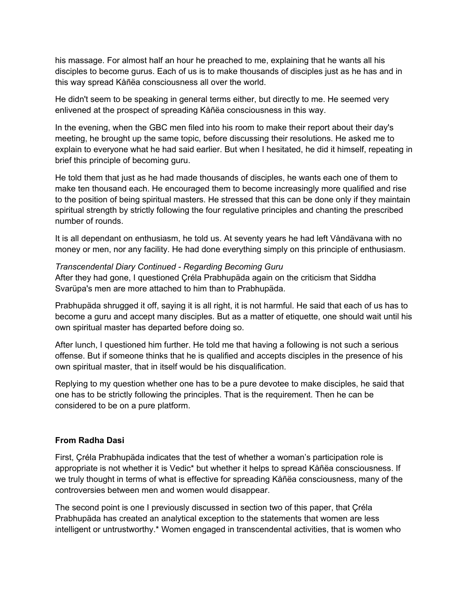his massage. For almost half an hour he preached to me, explaining that he wants all his disciples to become gurus. Each of us is to make thousands of disciples just as he has and in this way spread Kåñëa consciousness all over the world.

He didn't seem to be speaking in general terms either, but directly to me. He seemed very enlivened at the prospect of spreading Kåñëa consciousness in this way.

In the evening, when the GBC men filed into his room to make their report about their day's meeting, he brought up the same topic, before discussing their resolutions. He asked me to explain to everyone what he had said earlier. But when I hesitated, he did it himself, repeating in brief this principle of becoming guru.

He told them that just as he had made thousands of disciples, he wants each one of them to make ten thousand each. He encouraged them to become increasingly more qualified and rise to the position of being spiritual masters. He stressed that this can be done only if they maintain spiritual strength by strictly following the four regulative principles and chanting the prescribed number of rounds.

It is all dependant on enthusiasm, he told us. At seventy years he had left Våndävana with no money or men, nor any facility. He had done everything simply on this principle of enthusiasm.

*Transcendental Diary Continued - Regarding Becoming Guru* After they had gone, I questioned Çréla Prabhupäda again on the criticism that Siddha Svarüpa's men are more attached to him than to Prabhupäda.

Prabhupäda shrugged it off, saying it is all right, it is not harmful. He said that each of us has to become a guru and accept many disciples. But as a matter of etiquette, one should wait until his own spiritual master has departed before doing so.

After lunch, I questioned him further. He told me that having a following is not such a serious offense. But if someone thinks that he is qualified and accepts disciples in the presence of his own spiritual master, that in itself would be his disqualification.

Replying to my question whether one has to be a pure devotee to make disciples, he said that one has to be strictly following the principles. That is the requirement. Then he can be considered to be on a pure platform.

### **From Radha Dasi**

First, Çréla Prabhupäda indicates that the test of whether a woman's participation role is appropriate is not whether it is Vedic\* but whether it helps to spread Kåñëa consciousness. If we truly thought in terms of what is effective for spreading Kåñëa consciousness, many of the controversies between men and women would disappear.

The second point is one I previously discussed in section two of this paper, that Çréla Prabhupäda has created an analytical exception to the statements that women are less intelligent or untrustworthy.\* Women engaged in transcendental activities, that is women who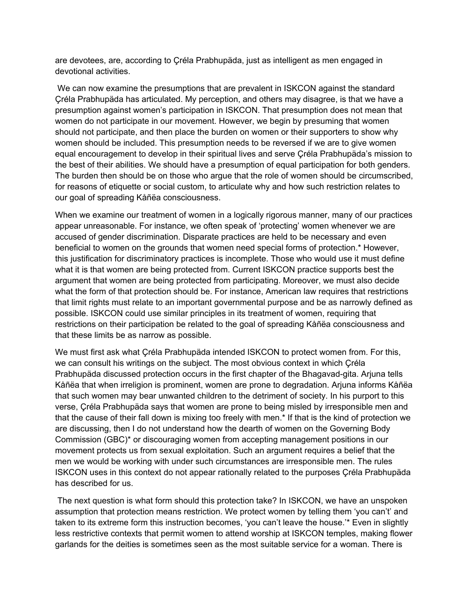are devotees, are, according to Çréla Prabhupäda, just as intelligent as men engaged in devotional activities.

We can now examine the presumptions that are prevalent in ISKCON against the standard Çréla Prabhupäda has articulated. My perception, and others may disagree, is that we have a presumption against women's participation in ISKCON. That presumption does not mean that women do not participate in our movement. However, we begin by presuming that women should not participate, and then place the burden on women or their supporters to show why women should be included. This presumption needs to be reversed if we are to give women equal encouragement to develop in their spiritual lives and serve Çréla Prabhupäda's mission to the best of their abilities. We should have a presumption of equal participation for both genders. The burden then should be on those who argue that the role of women should be circumscribed, for reasons of etiquette or social custom, to articulate why and how such restriction relates to our goal of spreading Kåñëa consciousness.

When we examine our treatment of women in a logically rigorous manner, many of our practices appear unreasonable. For instance, we often speak of 'protecting' women whenever we are accused of gender discrimination. Disparate practices are held to be necessary and even beneficial to women on the grounds that women need special forms of protection.\* However, this justification for discriminatory practices is incomplete. Those who would use it must define what it is that women are being protected from. Current ISKCON practice supports best the argument that women are being protected from participating. Moreover, we must also decide what the form of that protection should be. For instance, American law requires that restrictions that limit rights must relate to an important governmental purpose and be as narrowly defined as possible. ISKCON could use similar principles in its treatment of women, requiring that restrictions on their participation be related to the goal of spreading Kåñëa consciousness and that these limits be as narrow as possible.

We must first ask what Çréla Prabhupäda intended ISKCON to protect women from. For this, we can consult his writings on the subject. The most obvious context in which Çréla Prabhupäda discussed protection occurs in the first chapter of the Bhagavad-gita. Arjuna tells Kåñëa that when irreligion is prominent, women are prone to degradation. Arjuna informs Kåñëa that such women may bear unwanted children to the detriment of society. In his purport to this verse, Çréla Prabhupäda says that women are prone to being misled by irresponsible men and that the cause of their fall down is mixing too freely with men.\* If that is the kind of protection we are discussing, then I do not understand how the dearth of women on the Governing Body Commission (GBC)\* or discouraging women from accepting management positions in our movement protects us from sexual exploitation. Such an argument requires a belief that the men we would be working with under such circumstances are irresponsible men. The rules ISKCON uses in this context do not appear rationally related to the purposes Çréla Prabhupäda has described for us.

The next question is what form should this protection take? In ISKCON, we have an unspoken assumption that protection means restriction. We protect women by telling them 'you can't' and taken to its extreme form this instruction becomes, 'you can't leave the house.'\* Even in slightly less restrictive contexts that permit women to attend worship at ISKCON temples, making flower garlands for the deities is sometimes seen as the most suitable service for a woman. There is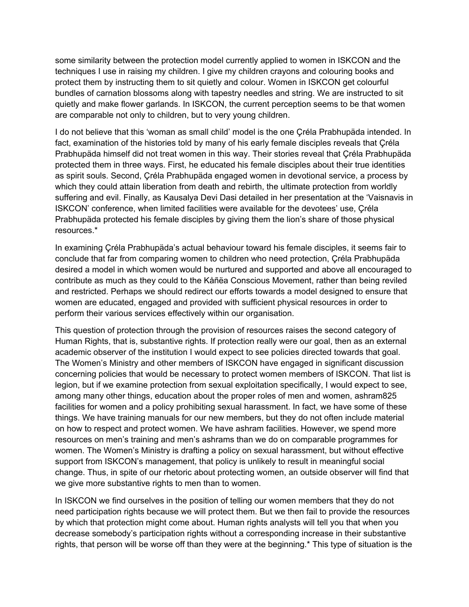some similarity between the protection model currently applied to women in ISKCON and the techniques I use in raising my children. I give my children crayons and colouring books and protect them by instructing them to sit quietly and colour. Women in ISKCON get colourful bundles of carnation blossoms along with tapestry needles and string. We are instructed to sit quietly and make flower garlands. In ISKCON, the current perception seems to be that women are comparable not only to children, but to very young children.

I do not believe that this 'woman as small child' model is the one Çréla Prabhupäda intended. In fact, examination of the histories told by many of his early female disciples reveals that Çréla Prabhupäda himself did not treat women in this way. Their stories reveal that Çréla Prabhupäda protected them in three ways. First, he educated his female disciples about their true identities as spirit souls. Second, Çréla Prabhupäda engaged women in devotional service, a process by which they could attain liberation from death and rebirth, the ultimate protection from worldly suffering and evil. Finally, as Kausalya Devi Dasi detailed in her presentation at the 'Vaisnavis in ISKCON' conference, when limited facilities were available for the devotees' use, Çréla Prabhupäda protected his female disciples by giving them the lion's share of those physical resources.\*

In examining Çréla Prabhupäda's actual behaviour toward his female disciples, it seems fair to conclude that far from comparing women to children who need protection, Çréla Prabhupäda desired a model in which women would be nurtured and supported and above all encouraged to contribute as much as they could to the Kåñëa Conscious Movement, rather than being reviled and restricted. Perhaps we should redirect our efforts towards a model designed to ensure that women are educated, engaged and provided with sufficient physical resources in order to perform their various services effectively within our organisation.

This question of protection through the provision of resources raises the second category of Human Rights, that is, substantive rights. If protection really were our goal, then as an external academic observer of the institution I would expect to see policies directed towards that goal. The Women's Ministry and other members of ISKCON have engaged in significant discussion concerning policies that would be necessary to protect women members of ISKCON. That list is legion, but if we examine protection from sexual exploitation specifically, I would expect to see, among many other things, education about the proper roles of men and women, ashram825 facilities for women and a policy prohibiting sexual harassment. In fact, we have some of these things. We have training manuals for our new members, but they do not often include material on how to respect and protect women. We have ashram facilities. However, we spend more resources on men's training and men's ashrams than we do on comparable programmes for women. The Women's Ministry is drafting a policy on sexual harassment, but without effective support from ISKCON's management, that policy is unlikely to result in meaningful social change. Thus, in spite of our rhetoric about protecting women, an outside observer will find that we give more substantive rights to men than to women.

In ISKCON we find ourselves in the position of telling our women members that they do not need participation rights because we will protect them. But we then fail to provide the resources by which that protection might come about. Human rights analysts will tell you that when you decrease somebody's participation rights without a corresponding increase in their substantive rights, that person will be worse off than they were at the beginning.\* This type of situation is the